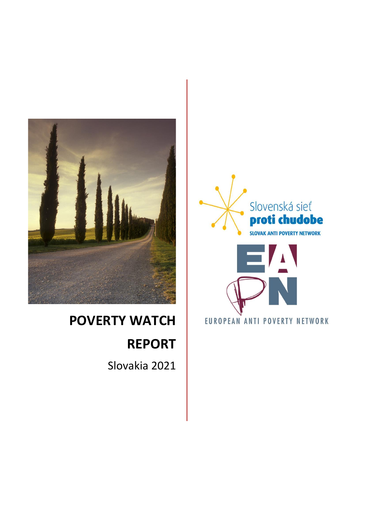

# **POVERTY WATCH REPORT**

Slovakia 2021



EUROPEAN ANTI POVERTY NETWORK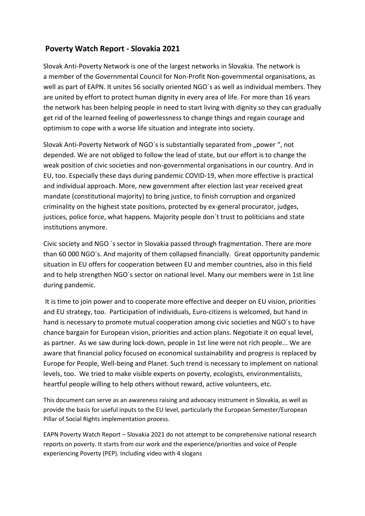# **Poverty Watch Report - Slovakia 2021**

Slovak Anti-Poverty Network is one of the largest networks in Slovakia. The network is a member of the Governmental Council for Non-Profit Non-governmental organisations, as well as part of EAPN. It unites 56 socially oriented NGO´s as well as individual members. They are united by effort to protect human dignity in every area of life. For more than 16 years the network has been helping people in need to start living with dignity so they can gradually get rid of the learned feeling of powerlessness to change things and regain courage and optimism to cope with a worse life situation and integrate into society.

Slovak Anti-Poverty Network of NGO's is substantially separated from "power", not depended. We are not obliged to follow the lead of state, but our effort is to change the weak position of civic societies and non-governmental organisations in our country. And in EU, too. Especially these days during pandemic COVID-19, when more effective is practical and individual approach. More, new government after election last year received great mandate (constitutional majority) to bring justice, to finish corruption and organized criminality on the highest state positions, protected by ex-general procurator, judges, justices, police force, what happens. Majority people don´t trust to politicians and state institutions anymore.

Civic society and NGO ´s sector in Slovakia passed through fragmentation. There are more than 60 000 NGO´s. And majority of them collapsed financially. Great opportunity pandemic situation in EU offers for cooperation between EU and member countries, also in this field and to help strengthen NGO´s sector on national level. Many our members were in 1st line during pandemic.

It is time to join power and to cooperate more effective and deeper on EU vision, priorities and EU strategy, too. Participation of individuals, Euro-citizens is welcomed, but hand in hand is necessary to promote mutual cooperation among civic societies and NGO´s to have chance bargain for European vision, priorities and action plans. Negotiate it on equal level, as partner. As we saw during lock-down, people in 1st line were not rich people... We are aware that financial policy focused on economical sustainability and progress is replaced by Europe for People, Well-being and Planet. Such trend is necessary to implement on national levels, too. We tried to make visible experts on poverty, ecologists, environmentalists, heartful people willing to help others without reward, active volunteers, etc.

This document can serve as an awareness raising and advocacy instrument in Slovakia, as well as provide the basis for useful inputs to the EU level, particularly the European Semester/European Pillar of Social Rights implementation process.

EAPN Poverty Watch Report – Slovakia 2021 do not attempt to be comprehensive national research reports on poverty. It starts from our work and the experience/priorities and voice of People experiencing Poverty (PEP). Including video with 4 slogans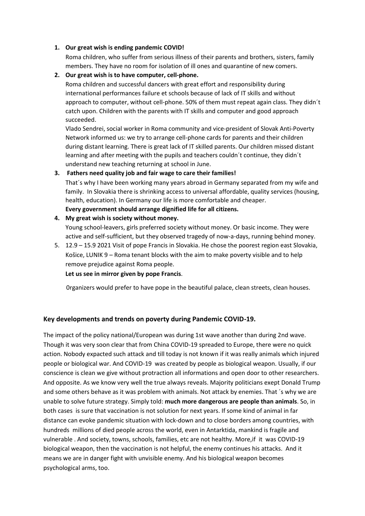#### **1. Our great wish is ending pandemic COVID!**

Roma children, who suffer from serious illness of their parents and brothers, sisters, family members. They have no room for isolation of ill ones and quarantine of new comers.

#### **2. Our great wish is to have computer, cell-phone.**

Roma children and successful dancers with great effort and responsibility during international performances failure et schools because of lack of IT skills and without approach to computer, without cell-phone. 50% of them must repeat again class. They didn´t catch upon. Children with the parents with IT skills and computer and good approach succeeded.

Vlado Sendrei, social worker in Roma community and vice-president of Slovak Anti-Poverty Network informed us: we try to arrange cell-phone cards for parents and their children during distant learning. There is great lack of IT skilled parents. Our children missed distant learning and after meeting with the pupils and teachers couldn´t continue, they didn´t understand new teaching returning at school in June.

#### **3. Fathers need quality job and fair wage to care their families!**

That´s why I have been working many years abroad in Germany separated from my wife and family. In Slovakia there is shrinking access to universal affordable, quality services (housing, health, education). In Germany our life is more comfortable and cheaper.

**Every government should arrange dignified life for all citizens.** 

## **4. My great wish is society without money.**

Young school-leavers, girls preferred society without money. Or basic income. They were active and self-sufficient, but they observed tragedy of now-a-days, running behind money.

5. 12.9 – 15.9 2021 Visit of pope Francis in Slovakia. He chose the poorest region east Slovakia, Košice, LUNIK 9 – Roma tenant blocks with the aim to make poverty visible and to help remove prejudice against Roma people.

**Let us see in mirror given by pope Francis**.

0rganizers would prefer to have pope in the beautiful palace, clean streets, clean houses.

## **Key developments and trends on poverty during Pandemic COVID-19.**

The impact of the policy national/European was during 1st wave another than during 2nd wave. Though it was very soon clear that from China COVID-19 spreaded to Europe, there were no quick action. Nobody expacted such attack and till today is not known if it was really animals which injured people or biological war. And COVID-19 was created by people as biological weapon. Usually, if our conscience is clean we give without protraction all informations and open door to other researchers. And opposite. As we know very well the true always reveals. Majority politicians exept Donald Trump and some others behave as it was problem with animals. Not attack by enemies. That ´s why we are unable to solve future strategy. Simply told: **much more dangerous are people than animals**. So, in both cases is sure that vaccination is not solution for next years. If some kind of animal in far distance can evoke pandemic situation with lock-down and to close borders among countries, with hundreds millions of died people across the world, even in Antarktida, mankind is fragile and vulnerable . And society, towns, schools, families, etc are not healthy. More,if it was COVID-19 biological weapon, then the vaccination is not helpful, the enemy continues his attacks. And it means we are in danger fight with unvisible enemy. And his biological weapon becomes psychological arms, too.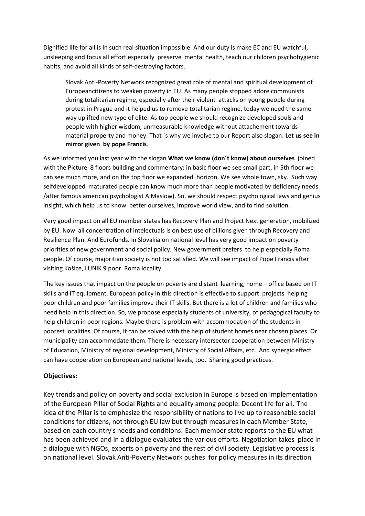Dignified life for all is in such real situation impossible. And our duty is make EC and EU watchful, unsleeping and focus all effort especially preserve mental health, teach our children psychohygienic habits, and avoid all kinds of self-destroying factors.

Slovak Anti-Poverty Network recognized great role of mental and spiritual development of Europeancitizens to weaken poverty in EU. As many people stopped adore communists during totalitarian regime, especially after their violent attacks on young people during protest in Prague and it helped us to remove totalitarian regime, today we need the same way uplifted new type of elite. As top people we should recognize developed souls and people with higher wisdom, unmeasurable knowledge without attachement towards material property and money. That ´s why we involve to our Report also slogan: **Let us see in mirror given by pope Francis**.

As we informed you last year with the slogan **What we know (don´t know) about ourselves** joined with the Picture 8 floors building and commentary: in basic floor we see small part, in 5th floor we can see much more, and on the top floor we expanded horizon. We see whole town, sky. Such way selfdevelopped maturated people can know much more than people motivated by deficiency needs /after famous american psychologist A.Maslow). So, we should respect psychological laws and genius insight, which help us to know better ourselves, improve world view, and to find solution.

Very good impact on all EU member states has Recovery Plan and Project Next generation, mobilized by EU. Now all concentration of intelectuals is on best use of billions given through Recovery and Resilience Plan. And Eurofunds. In Slovakia on national level has very good impact on poverty priorities of new government and social policy. New government prefers to help especially Roma people. Of course, majoritian society is not too satisfied. We will see impact of Pope Francis after visiting Košice, LUNIK 9 poor Roma locality.

The key issues that impact on the people on poverty are distant learning, home – office based on IT skills and IT equipment. European policy in this direction is effective to support projects helping poor children and poor families improve their IT skills. But there is a lot of children and families who need help in this direction. So, we propose especially students of university, of pedagogical faculty to help children in poor regions. Maybe there is problem with accommodation of the students in poorest localities. Of course, it can be solved with the help of student homes near chosen places. Or municipality can accommodate them. There is necessary intersector cooperation between Ministry of Education, Ministry of regional development, Ministry of Social Affairs, etc. And synergic effect can have cooperation on European and national levels, too. Sharing good practices.

## **Objectives:**

Key trends and policy on poverty and social exclusion in Europe is based on implementation of the European Pillar of Social Rights and equality among people. Decent life for all. The idea of the Pillar is to emphasize the responsibility of nations to live up to reasonable social conditions for citizens, not through EU law but through measures in each Member State, based on each country's needs and conditions. Each member state reports to the EU what has been achieved and in a dialogue evaluates the various efforts. Negotiation takes place in a dialogue with NGOs, experts on poverty and the rest of civil society. Legislative process is on national level. Slovak Anti-Poverty Network pushes for policy measures in its direction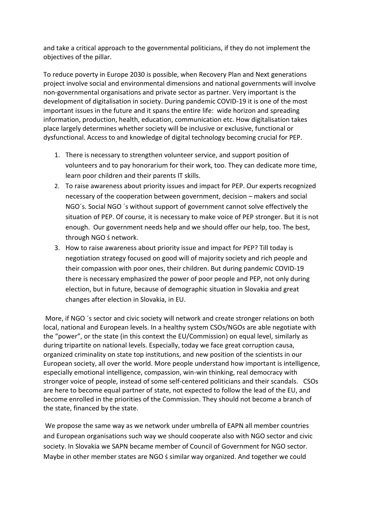and take a critical approach to the governmental politicians, if they do not implement the objectives of the pillar.

To reduce poverty in Europe 2030 is possible, when Recovery Plan and Next generations project involve social and environmental dimensions and national governments will involve non-governmental organisations and private sector as partner. Very important is the development of digitalisation in society. During pandemic COVID-19 it is one of the most important issues in the future and it spans the entire life: wide horizon and spreading information, production, health, education, communication etc. How digitalisation takes place largely determines whether society will be inclusive or exclusive, functional or dysfunctional. Access to and knowledge of digital technology becoming crucial for PEP.

- 1. There is necessary to strengthen volunteer service, and support position of volunteers and to pay honorarium for their work, too. They can dedicate more time, learn poor children and their parents IT skills.
- 2. To raise awareness about priority issues and impact for PEP. Our experts recognized necessary of the cooperation between government, decision – makers and social NGO´s. Social NGO ´s without support of government cannot solve effectively the situation of PEP. Of course, it is necessary to make voice of PEP stronger. But it is not enough. Our government needs help and we should offer our help, too. The best, through NGO ś network.
- 3. How to raise awareness about priority issue and impact for PEP? Till today is negotiation strategy focused on good will of majority society and rich people and their compassion with poor ones, their children. But during pandemic COVID-19 there is necessary emphasized the power of poor people and PEP, not only during election, but in future, because of demographic situation in Slovakia and great changes after election in Slovakia, in EU.

More, if NGO ´s sector and civic society will network and create stronger relations on both local, national and European levels. In a healthy system CSOs/NGOs are able negotiate with the "power", or the state (in this context the EU/Commission) on equal level, similarly as during tripartite on national levels. Especially, today we face great corruption causa, organized criminality on state top institutions, and new position of the scientists in our European society, all over the world. More people understand how important is intelligence, especially emotional intelligence, compassion, win-win thinking, real democracy with stronger voice of people, instead of some self-centered politicians and their scandals. CSOs are here to become equal partner of state, not expected to follow the lead of the EU, and become enrolled in the priorities of the Commission. They should not become a branch of the state, financed by the state.

We propose the same way as we network under umbrella of EAPN all member countries and European organisations such way we should cooperate also with NGO sector and civic society. In Slovakia we SAPN became member of Council of Government for NGO sector. Maybe in other member states are NGO ś similar way organized. And together we could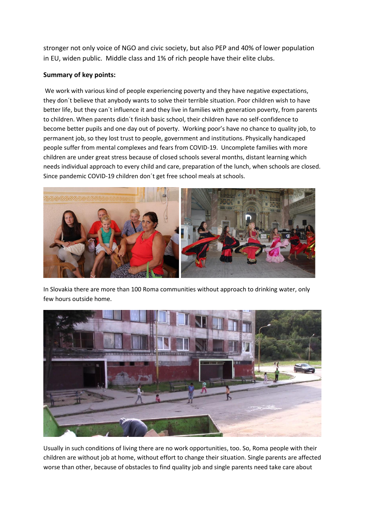stronger not only voice of NGO and civic society, but also PEP and 40% of lower population in EU, widen public. Middle class and 1% of rich people have their elite clubs.

# **Summary of key points:**

We work with various kind of people experiencing poverty and they have negative expectations, they don´t believe that anybody wants to solve their terrible situation. Poor children wish to have better life, but they can´t influence it and they live in families with generation poverty, from parents to children. When parents didn´t finish basic school, their children have no self-confidence to become better pupils and one day out of poverty. Working poor's have no chance to quality job, to permanent job, so they lost trust to people, government and institutions. Physically handicaped people suffer from mental complexes and fears from COVID-19. Uncomplete families with more children are under great stress because of closed schools several months, distant learning which needs individual approach to every child and care, preparation of the lunch, when schools are closed. Since pandemic COVID-19 children don´t get free school meals at schools.



In Slovakia there are more than 100 Roma communities without approach to drinking water, only few hours outside home.



Usually in such conditions of living there are no work opportunities, too. So, Roma people with their children are without job at home, without effort to change their situation. Single parents are affected worse than other, because of obstacles to find quality job and single parents need take care about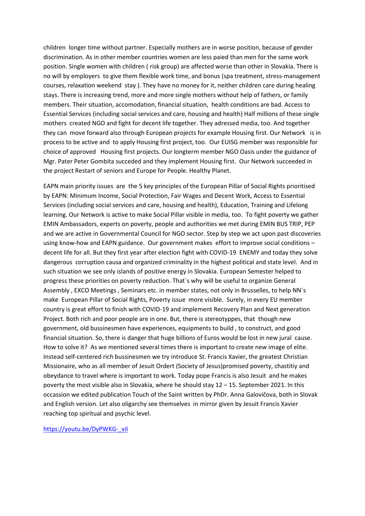children longer time without partner. Especially mothers are in worse position, because of gender discrimination. As in other member countries women are less paied than men for the same work position. Single women with children ( risk group) are affected worse than other in Slovakia. There is no will by employers to give them flexible work time, and bonus (spa treatment, stress-management courses, relaxation weekend stay ). They have no money for it, neither children care during healing stays. There is increasing trend, more and more single mothers without help of fathers, or family members. Their situation, accomodation, financial situation, health conditions are bad. Access to Essential Services (including social services and care, housing and health) Half millions of these single mothers created NGO and fight for decent life together. They adressed media, too. And together they can move forward also through European projects for example Housing first. Our Network is in process to be active and to apply Housing first project, too. Our EUISG member was responsible for choice of approved Housing first projects. Our longterm member NGO Oasis under the guidance of Mgr. Pater Peter Gombita succeded and they implement Housing first. Our Network succeeded in the project Restart of seniors and Europe for People. Healthy Planet.

EAPN main priority issues are the 5 key principles of the European Pillar of Social Rights prioritised by EAPN: Minimum Income, Social Protection, Fair Wages and Decent Work, Access to Essential Services (including social services and care, housing and health), Education, Training and Lifelong learning. Our Network is active to make Social Pillar visible in media, too. To fight poverty we gather EMIN Ambassadors, experts on poverty, people and authorities we met during EMIN BUS TRIP, PEP and we are active in Governmental Council for NGO sector. Step by step we act upon past discoveries using know-how and EAPN guidance. Our government makes effort to improve social conditions – decent life for all. But they first year after election fight with COVID-19 ENEMY and today they solve dangerous corruption causa and organized criminality in the highest political and state level. And in such situation we see only islands of positive energy in Slovakia. European Semester helped to progress these priorities on poverty reduction. That´s why will be useful to organize General Assembly , EXCO Meetings , Seminars etc. in member states, not only in Brusselles, to help NN´s make European Pillar of Social Rights, Poverty issue more visible. Surely, in every EU member country is great effort to finish with COVID-19 and implement Recovery Plan and Next generation Project. Both rich and poor people are in one. But, there is stereotyppes, that though new government, old bussinesmen have experiences, equipments to build , to construct, and good financial situation. So, there is danger that huge billions of Euros would be lost in new jural cause. How to solve it? As we mentioned several times there is important to create new image of elite. Instead self-centered rich bussinesmen we try introduce St. Francis Xavier, the greatest Christian Missionaire, who as all member of Jesuit Ordert (Society of Jesus)promised poverty, chastitiy and obeydance to travel where is important to work. Today pope Francis is also Jesuit and he makes poverty the most visible also in Slovakia, where he should stay 12 – 15. September 2021. In this occassion we edited publication Touch of the Saint written by PhDr. Anna Galovičova, both in Slovak and English version. Let also oligarchy see themselves in mirror given by Jesuit Francis Xavier reaching top spiritual and psychic level.

https://youtu.be/DyPWKG-\_vil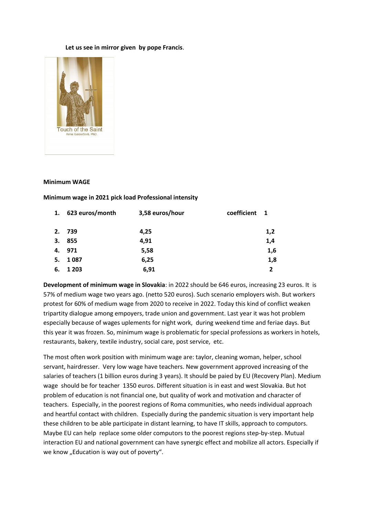#### **Let us see in mirror given by pope Francis**.



#### **Minimum WAGE**

**Minimum wage in 2021 pick load Professional intensity**

| 1. | 623 euros/month | 3,58 euros/hour | coefficient | $\blacksquare$ |
|----|-----------------|-----------------|-------------|----------------|
|    | 2. 739          | 4,25            |             | 1,2            |
| 3. | 855             | 4,91            |             | 1,4            |
| 4. | 971             | 5,58            |             | 1,6            |
| 5. | 1087            | 6,25            |             | 1,8            |
| 6. | 1 2 0 3         | 6,91            |             | $\overline{2}$ |

**Development of minimum wage in Slovakia**: in 2022 should be 646 euros, increasing 23 euros. It is 57% of medium wage two years ago. (netto 520 euros). Such scenario employers wish. But workers protest for 60% of medium wage from 2020 to receive in 2022. Today this kind of conflict weaken tripartity dialogue among empoyers, trade union and government. Last year it was hot problem especially because of wages uplements for night work, during weekend time and feriae days. But this year it was frozen. So, minimum wage is problematic for special professions as workers in hotels, restaurants, bakery, textile industry, social care, post service, etc.

The most often work position with minimum wage are: taylor, cleaning woman, helper, school servant, hairdresser. Very low wage have teachers. New government approved increasing of the salaries of teachers (1 billion euros during 3 years). It should be paied by EU (Recovery Plan). Medium wage should be for teacher 1350 euros. Different situation is in east and west Slovakia. But hot problem of education is not financial one, but quality of work and motivation and character of teachers. Especially, in the poorest regions of Roma communities, who needs individual approach and heartful contact with children. Especially during the pandemic situation is very important help these children to be able participate in distant learning, to have IT skills, approach to computors. Maybe EU can help replace some older computors to the poorest regions step-by-step. Mutual interaction EU and national government can have synergic effect and mobilize all actors. Especially if we know "Education is way out of poverty".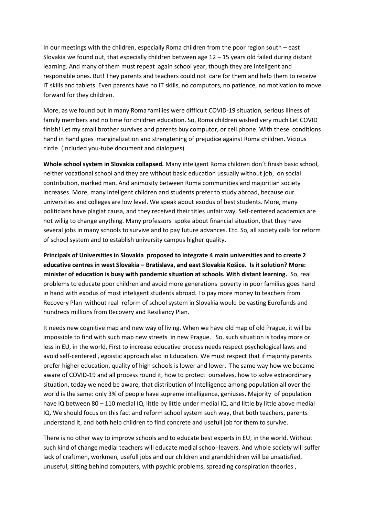In our meetings with the children, especially Roma children from the poor region south – east Slovakia we found out, that especially children between age 12 – 15 years old failed during distant learning. And many of them must repeat again school year, though they are inteligent and responsible ones. But! They parents and teachers could not care for them and help them to receive IT skills and tablets. Even parents have no IT skills, no computors, no patience, no motivation to move forward for they children.

More, as we found out in many Roma families were difficult COVID-19 situation, serious illness of family members and no time for children education. So, Roma children wished very much Let COVID finish! Let my small brother survives and parents buy computor, or cell phone. With these conditions hand in hand goes marginalization and strengtening of prejudice against Roma children. Vicious circle. (Included you-tube document and dialogues).

**Whole school system in Slovakia collapsed.** Many inteligent Roma children don´t finish basic school, neither vocational school and they are without basic education ussually without job, on social contribution, marked man. And animosity between Roma communities and majoritian society increases. More, many inteligent children and students prefer to study abroad, because our universities and colleges are low level. We speak about exodus of best students. More, many politicians have plagiat causa, and they received their titles unfair way. Self-centered academics are not willig to change anything. Many professors spoke about financial situation, that they have several jobs in many schools to survive and to pay future advances. Etc. So, all society calls for reform of school system and to establish university campus higher quality.

**Principals of Universities in Slovakia proposed to integrate 4 main universities and to create 2 educative centres in west Slovakia – Bratislava, and east Slovakia Košice. Is it solution? More: minister of education is busy with pandemic situation at schools. With distant learning.** So, real problems to educate poor children and avoid more generations poverty in poor families goes hand in hand with exodus of most inteligent students abroad. To pay more money to teachers from Recovery Plan without real reform of school system in Slovakia would be vasting Eurofunds and hundreds millions from Recovery and Resiliancy Plan.

It needs new cognitive map and new way of living. When we have old map of old Prague, it will be impossible to find with such map new streets in new Prague. So, such situation is today more or less in EU, in the world. First to increase educative process needs respect psychological laws and avoid self-centered , egoistic approach also in Education. We must respect that if majority parents prefer higher education, quality of high schools is lower and lower. The same way how we became aware of COVID-19 and all process round it, how to protect ourselves, how to solve extraordinary situation, today we need be aware, that distribution of Intelligence among population all over the world is the same: only 3% of people have supreme intelligence, geniuses. Majority of population have IQ between 80 – 110 medial IQ, little by little under medial IQ, and little by little above medial IQ. We should focus on this fact and reform school system such way, that both teachers, parents understand it, and both help children to find concrete and usefull job for them to survive.

There is no other way to improve schools and to educate best experts in EU, in the world. Without such kind of change medial teachers will educate medial school-leavers. And whole society will suffer lack of craftmen, workmen, usefull jobs and our children and grandchildren will be unsatisfied, unuseful, sitting behind computers, with psychic problems, spreading conspiration theories ,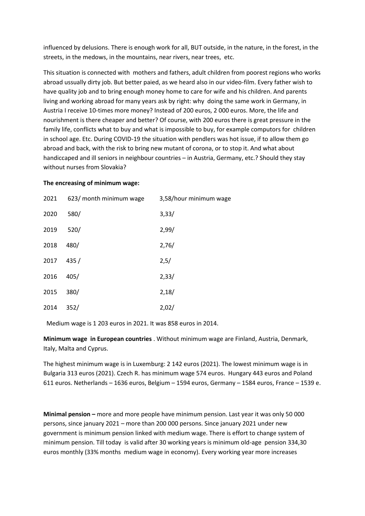influenced by delusions. There is enough work for all, BUT outside, in the nature, in the forest, in the streets, in the medows, in the mountains, near rivers, near trees, etc.

This situation is connected with mothers and fathers, adult children from poorest regions who works abroad ussually dirty job. But better paied, as we heard also in our video-film. Every father wish to have quality job and to bring enough money home to care for wife and his children. And parents living and working abroad for many years ask by right: why doing the same work in Germany, in Austria I receive 10-times more money? Instead of 200 euros, 2 000 euros. More, the life and nourishment is there cheaper and better? Of course, with 200 euros there is great pressure in the family life, conflicts what to buy and what is impossible to buy, for example computors for children in school age. Etc. During COVID-19 the situation with pendlers was hot issue, if to allow them go abroad and back, with the risk to bring new mutant of corona, or to stop it. And what about handiccaped and ill seniors in neighbour countries – in Austria, Germany, etc.? Should they stay without nurses from Slovakia?

#### **The encreasing of minimum wage:**

| 2021 | 623/ month minimum wage | 3,58/hour minimum wage |
|------|-------------------------|------------------------|
| 2020 | 580/                    | 3,33/                  |
| 2019 | 520/                    | 2,99/                  |
| 2018 | 480/                    | 2,76/                  |
| 2017 | 435/                    | 2,5/                   |
| 2016 | 405/                    | 2,33/                  |
| 2015 | 380/                    | 2,18/                  |
| 2014 | 352/                    | 2,02/                  |

Medium wage is 1 203 euros in 2021. It was 858 euros in 2014.

**Minimum wage in European countries** . Without minimum wage are Finland, Austria, Denmark, Italy, Malta and Cyprus.

The highest minimum wage is in Luxemburg: 2 142 euros (2021). The lowest minimum wage is in Bulgaria 313 euros (2021). Czech R. has minimum wage 574 euros. Hungary 443 euros and Poland 611 euros. Netherlands – 1636 euros, Belgium – 1594 euros, Germany – 1584 euros, France – 1539 e.

**Minimal pension –** more and more people have minimum pension. Last year it was only 50 000 persons, since january 2021 – more than 200 000 persons. Since january 2021 under new government is minimum pension linked with medium wage. There is effort to change system of minimum pension. Till today is valid after 30 working years is minimum old-age pension 334,30 euros monthly (33% months medium wage in economy). Every working year more increases